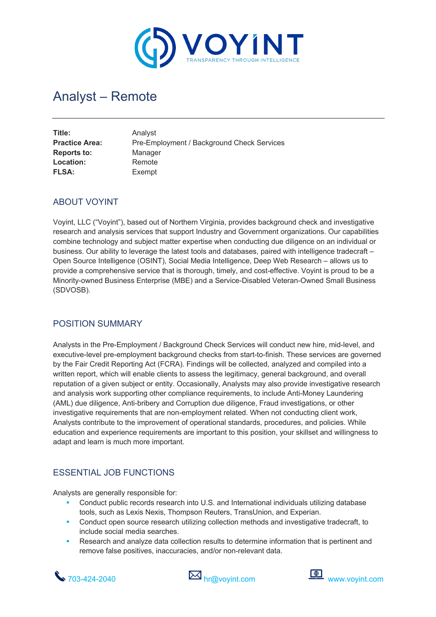

# Analyst – Remote

| Title:<br><b>Practice Area:</b><br><b>Reports to:</b> | Analyst<br>Pre-Employment / Background Check Services<br>Manager |
|-------------------------------------------------------|------------------------------------------------------------------|
| Location:                                             | Remote                                                           |
| <b>FLSA:</b>                                          | Exempt                                                           |
|                                                       |                                                                  |

#### ABOUT VOYINT

Voyint, LLC ("Voyint"), based out of Northern Virginia, provides background check and investigative research and analysis services that support Industry and Government organizations. Our capabilities combine technology and subject matter expertise when conducting due diligence on an individual or business. Our ability to leverage the latest tools and databases, paired with intelligence tradecraft – Open Source Intelligence (OSINT), Social Media Intelligence, Deep Web Research – allows us to provide a comprehensive service that is thorough, timely, and cost-effective. Voyint is proud to be a Minority-owned Business Enterprise (MBE) and a Service-Disabled Veteran-Owned Small Business (SDVOSB).

#### POSITION SUMMARY

Analysts in the Pre-Employment / Background Check Services will conduct new hire, mid-level, and executive-level pre-employment background checks from start-to-finish. These services are governed by the Fair Credit Reporting Act (FCRA). Findings will be collected, analyzed and compiled into a written report, which will enable clients to assess the legitimacy, general background, and overall reputation of a given subject or entity. Occasionally, Analysts may also provide investigative research and analysis work supporting other compliance requirements, to include Anti-Money Laundering (AML) due diligence, Anti-bribery and Corruption due diligence, Fraud investigations, or other investigative requirements that are non-employment related. When not conducting client work, Analysts contribute to the improvement of operational standards, procedures, and policies. While education and experience requirements are important to this position, your skillset and willingness to adapt and learn is much more important.

## ESSENTIAL JOB FUNCTIONS

Analysts are generally responsible for:

- § Conduct public records research into U.S. and International individuals utilizing database tools, such as Lexis Nexis, Thompson Reuters, TransUnion, and Experian.
- **•** Conduct open source research utilizing collection methods and investigative tradecraft, to include social media searches.
- Research and analyze data collection results to determine information that is pertinent and remove false positives, inaccuracies, and/or non-relevant data.